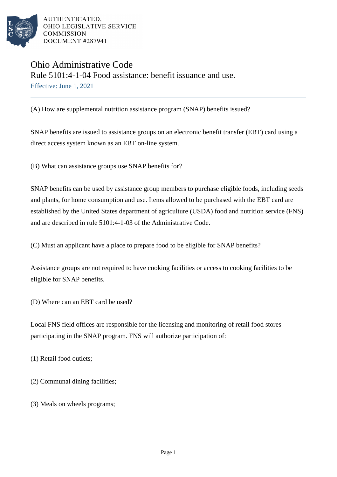

AUTHENTICATED. OHIO LEGISLATIVE SERVICE **COMMISSION** DOCUMENT #287941

## Ohio Administrative Code Rule 5101:4-1-04 Food assistance: benefit issuance and use. Effective: June 1, 2021

(A) How are supplemental nutrition assistance program (SNAP) benefits issued?

SNAP benefits are issued to assistance groups on an electronic benefit transfer (EBT) card using a direct access system known as an EBT on-line system.

(B) What can assistance groups use SNAP benefits for?

SNAP benefits can be used by assistance group members to purchase eligible foods, including seeds and plants, for home consumption and use. Items allowed to be purchased with the EBT card are established by the United States department of agriculture (USDA) food and nutrition service (FNS) and are described in rule 5101:4-1-03 of the Administrative Code.

(C) Must an applicant have a place to prepare food to be eligible for SNAP benefits?

Assistance groups are not required to have cooking facilities or access to cooking facilities to be eligible for SNAP benefits.

(D) Where can an EBT card be used?

Local FNS field offices are responsible for the licensing and monitoring of retail food stores participating in the SNAP program. FNS will authorize participation of:

(1) Retail food outlets;

(2) Communal dining facilities;

(3) Meals on wheels programs;